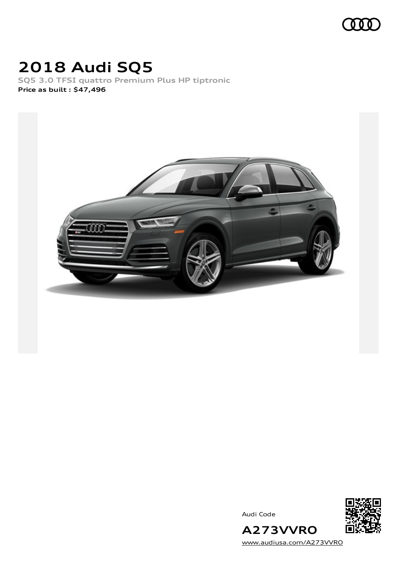

## **2018 Audi SQ5**

**SQ5 3.0 TFSI quattro Premium Plus HP tiptronic Price as built [:](#page-11-0) \$47,496**



Audi Code



[www.audiusa.com/A273VVRO](https://www.audiusa.com/A273VVRO)

**A273VVRO**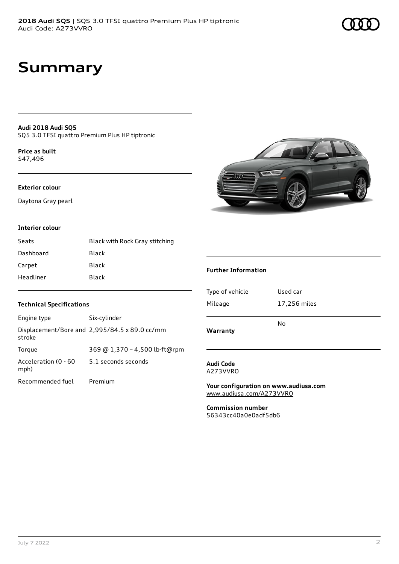### **Summary**

**Audi 2018 Audi SQ5** SQ5 3.0 TFSI quattro Premium Plus HP tiptronic

**Price as buil[t](#page-11-0)** \$47,496

### **Exterior colour**

Daytona Gray pearl

#### **Interior colour**

| Seats     | Black with Rock Gray stitching |
|-----------|--------------------------------|
| Dashboard | Black                          |
| Carpet    | Black                          |
| Headliner | Black                          |



#### **Further Information**

| Warranty        | N٥           |
|-----------------|--------------|
|                 |              |
| Mileage         | 17,256 miles |
| Type of vehicle | Used car     |

### **Audi Code**

A273VVRO

**Your configuration on www.audiusa.com** [www.audiusa.com/A273VVRO](https://www.audiusa.com/A273VVRO)

**Commission number** 56343cc40a0e0adf5db6

#### **Technical Specifications**

| Engine type                  | Six-cylinder                                  |
|------------------------------|-----------------------------------------------|
| stroke                       | Displacement/Bore and 2,995/84.5 x 89.0 cc/mm |
| Torque                       | 369 @ 1,370 - 4,500 lb-ft@rpm                 |
| Acceleration (0 - 60<br>mph) | 5.1 seconds seconds                           |
| Recommended fuel             | Premium                                       |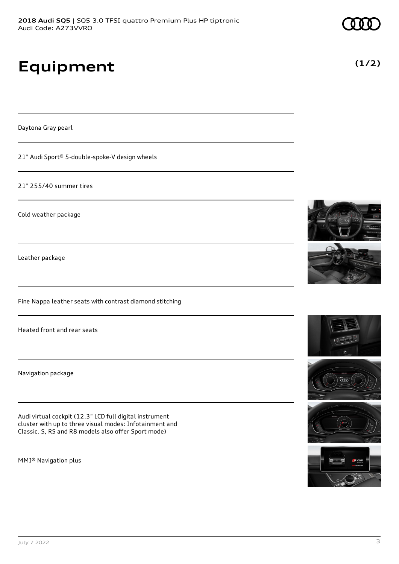# **Equipment**

Daytona Gray pearl

21" Audi Sport® 5-double-spoke-V design wheels

21" 255/40 summer tires

Cold weather package

Leather package

Fine Nappa leather seats with contrast diamond stitching

Heated front and rear seats

Navigation package

Audi virtual cockpit (12.3" LCD full digital instrument cluster with up to three visual modes: Infotainment and Classic. S, RS and R8 models also offer Sport mode)

MMI® Navigation plus









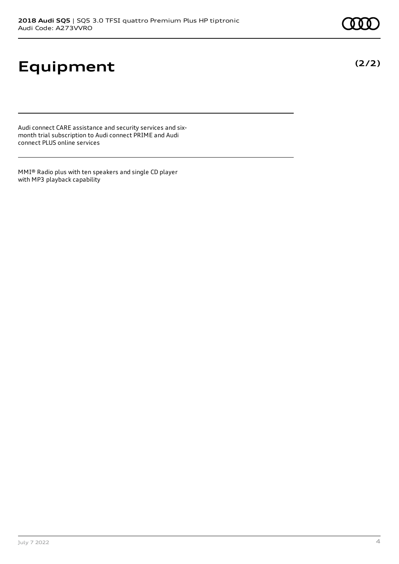# **Equipment**

Audi connect CARE assistance and security services and sixmonth trial subscription to Audi connect PRIME and Audi connect PLUS online services

MMI® Radio plus with ten speakers and single CD player with MP3 playback capability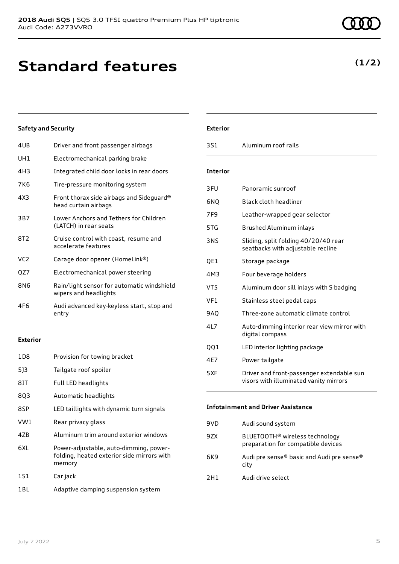## **Standard features**

### **Safety and Security**

| 4UB             | Driver and front passenger airbags                                  |
|-----------------|---------------------------------------------------------------------|
| UH1             | Electromechanical parking brake                                     |
| 4H3             | Integrated child door locks in rear doors                           |
| 7K6             | Tire-pressure monitoring system                                     |
| 4X3             | Front thorax side airbags and Sideguard®<br>head curtain airbags    |
| 3B7             | Lower Anchors and Tethers for Children<br>(LATCH) in rear seats     |
| 8T <sub>2</sub> | Cruise control with coast, resume and<br>accelerate features        |
| VC <sub>2</sub> | Garage door opener (HomeLink®)                                      |
| QZ7             | Electromechanical power steering                                    |
| 8N6             | Rain/light sensor for automatic windshield<br>wipers and headlights |
| 4F6             | Audi advanced key-keyless start, stop and<br>entry                  |

#### **Exterior**

| 1D <sub>8</sub> | Provision for towing bracket                                                                   |
|-----------------|------------------------------------------------------------------------------------------------|
| 5]3             | Tailgate roof spoiler                                                                          |
| 8IT             | Full LED headlights                                                                            |
| 8Q3             | Automatic headlights                                                                           |
| 8SP             | LED taillights with dynamic turn signals                                                       |
| VW1             | Rear privacy glass                                                                             |
| 4ZB             | Aluminum trim around exterior windows                                                          |
| 6XI.            | Power-adjustable, auto-dimming, power-<br>folding, heated exterior side mirrors with<br>memory |
| 1S1             | Car jack                                                                                       |
| 1 BL            | Adaptive damping suspension system                                                             |

### **Exterior**

| 3S1             | Aluminum roof rails                                                                 |
|-----------------|-------------------------------------------------------------------------------------|
| <b>Interior</b> |                                                                                     |
| 3FU             | Panoramic sunroof                                                                   |
| 6NQ             | <b>Black cloth headliner</b>                                                        |
| 7F <sub>9</sub> | Leather-wrapped gear selector                                                       |
| 5TG             | Brushed Aluminum inlays                                                             |
| 3NS             | Sliding, split folding 40/20/40 rear<br>seatbacks with adjustable recline           |
| QE1             | Storage package                                                                     |
| 4M3             | Four beverage holders                                                               |
| VT5             | Aluminum door sill inlays with S badging                                            |
| VF1             | Stainless steel pedal caps                                                          |
| 9AQ             | Three-zone automatic climate control                                                |
| 4L7             | Auto-dimming interior rear view mirror with<br>digital compass                      |
| QQ1             | LED interior lighting package                                                       |
| 4E7             | Power tailgate                                                                      |
| 5XF             | Driver and front-passenger extendable sun<br>visors with illuminated vanity mirrors |
|                 | Infotainment and Driver Accictanc                                                   |

#### **Infotainment and Driver Assistance**

| 9VD | Audi sound system                                                                |
|-----|----------------------------------------------------------------------------------|
| 9ZX | BLUETOOTH <sup>®</sup> wireless technology<br>preparation for compatible devices |
| 6K9 | Audi pre sense® basic and Audi pre sense®<br>city                                |
| 2H1 | Audi drive select                                                                |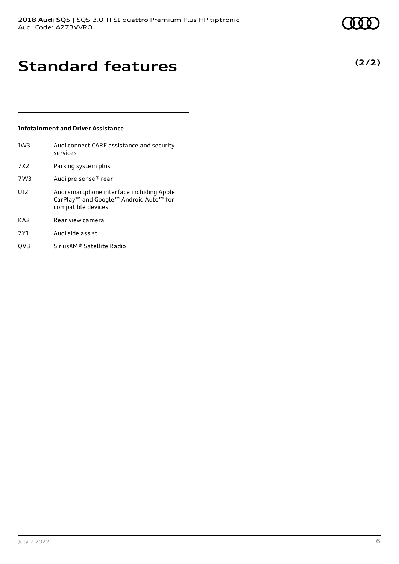**(2/2)**

# **Standard features**

### **Infotainment and Driver Assistance**

| IW <sub>3</sub> | Audi connect CARE assistance and security<br>services                                                                             |
|-----------------|-----------------------------------------------------------------------------------------------------------------------------------|
| 7X <sub>2</sub> | Parking system plus                                                                                                               |
| 7W3             | Audi pre sense® rear                                                                                                              |
| UI <sub>2</sub> | Audi smartphone interface including Apple<br>CarPlay <sup>™</sup> and Google™ Android Auto <sup>™</sup> for<br>compatible devices |
| KA <sub>2</sub> | Rear view camera                                                                                                                  |
| 7Y1             | Audi side assist                                                                                                                  |
| OV3             | Sirius XM® Satellite Radio                                                                                                        |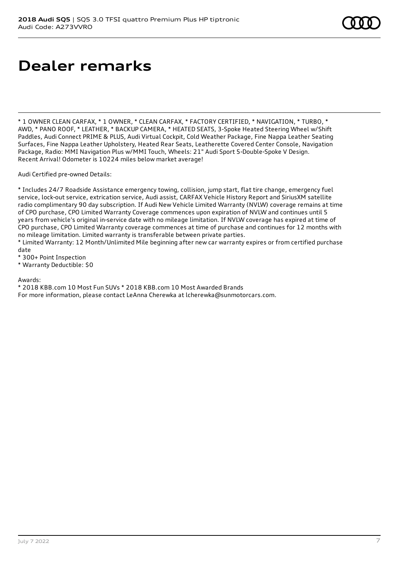### **Dealer remarks**

\* 1 OWNER CLEAN CARFAX, \* 1 OWNER, \* CLEAN CARFAX, \* FACTORY CERTIFIED, \* NAVIGATION, \* TURBO, \* AWD, \* PANO ROOF, \* LEATHER, \* BACKUP CAMERA, \* HEATED SEATS, 3-Spoke Heated Steering Wheel w/Shift Paddles, Audi Connect PRIME & PLUS, Audi Virtual Cockpit, Cold Weather Package, Fine Nappa Leather Seating Surfaces, Fine Nappa Leather Upholstery, Heated Rear Seats, Leatherette Covered Center Console, Navigation Package, Radio: MMI Navigation Plus w/MMI Touch, Wheels: 21" Audi Sport 5-Double-Spoke V Design. Recent Arrival! Odometer is 10224 miles below market average!

Audi Certified pre-owned Details:

\* Includes 24/7 Roadside Assistance emergency towing, collision, jump start, flat tire change, emergency fuel service, lock-out service, extrication service, Audi assist, CARFAX Vehicle History Report and SiriusXM satellite radio complimentary 90 day subscription. If Audi New Vehicle Limited Warranty (NVLW) coverage remains at time of CPO purchase, CPO Limited Warranty Coverage commences upon expiration of NVLW and continues until 5 years from vehicle's original in-service date with no mileage limitation. If NVLW coverage has expired at time of CPO purchase, CPO Limited Warranty coverage commences at time of purchase and continues for 12 months with no mileage limitation. Limited warranty is transferable between private parties.

\* Limited Warranty: 12 Month/Unlimited Mile beginning after new car warranty expires or from certified purchase date

\* 300+ Point Inspection

\* Warranty Deductible: \$0

Awards:

\* 2018 KBB.com 10 Most Fun SUVs \* 2018 KBB.com 10 Most Awarded Brands For more information, please contact LeAnna Cherewka at lcherewka@sunmotorcars.com.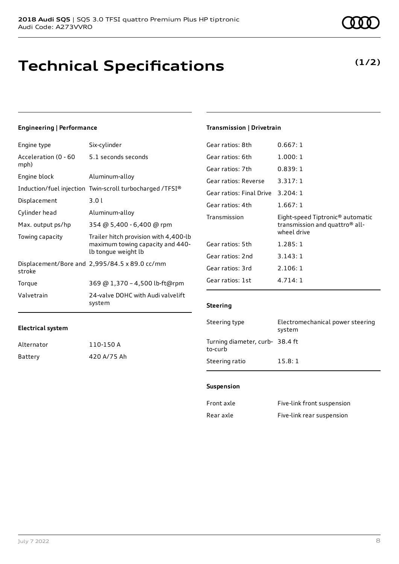### **Technical Specifications**

### **Engineering | Performance**

| Engine type                  | Six-cylinder                                                                                     |
|------------------------------|--------------------------------------------------------------------------------------------------|
| Acceleration (0 - 60<br>mph) | 5.1 seconds seconds                                                                              |
| Engine block                 | Aluminum-alloy                                                                                   |
|                              | Induction/fuel injection Twin-scroll turbocharged /TFSI®                                         |
| Displacement                 | 3.01                                                                                             |
| Cylinder head                | Aluminum-alloy                                                                                   |
| Max. output ps/hp            | 354 @ 5,400 - 6,400 @ rpm                                                                        |
| Towing capacity              | Trailer hitch provision with 4,400-lb<br>maximum towing capacity and 440-<br>lb tongue weight lb |
| stroke                       | Displacement/Bore and $2,995/84.5 \times 89.0 \text{ cc/mm}$                                     |
| Torque                       | 369 @ 1,370 - 4,500 lb-ft@rpm                                                                    |
| Valvetrain                   | 24-valve DOHC with Audi valvelift<br>system                                                      |

### **Transmission | Drivetrain**

| Gear ratios: 8th         | 0.667:1                                                                                                   |
|--------------------------|-----------------------------------------------------------------------------------------------------------|
| Gear ratios: 6th         | 1.000:1                                                                                                   |
| Gear ratios: 7th         | 0.839:1                                                                                                   |
| Gear ratios: Reverse     | 3.317:1                                                                                                   |
| Gear ratios: Final Drive | 3.204:1                                                                                                   |
| Gear ratios: 4th         | 1.667:1                                                                                                   |
|                          |                                                                                                           |
| Transmission             | Eight-speed Tiptronic <sup>®</sup> automatic<br>transmission and quattro <sup>®</sup> all-<br>wheel drive |
| Gear ratios: 5th         | 1.285:1                                                                                                   |
| Gear ratios: 2nd         | 3.143:1                                                                                                   |
| Gear ratios: 3rd         | 2.106:1                                                                                                   |
| Gear ratios: 1st         | 4.714:1                                                                                                   |

#### **Steering**

| Steering type                             | Electromechanical power steering<br>system |
|-------------------------------------------|--------------------------------------------|
| Turning diameter, curb-38.4 ft<br>to-curb |                                            |
| Steering ratio                            | 15.8:1                                     |

#### **Suspension**

| Front axle | Five-link front suspension |
|------------|----------------------------|
| Rear axle  | Five-link rear suspension  |

| Alternator | 110-150 A   |
|------------|-------------|
| Battery    | 420 A/75 Ah |

### **(1/2)**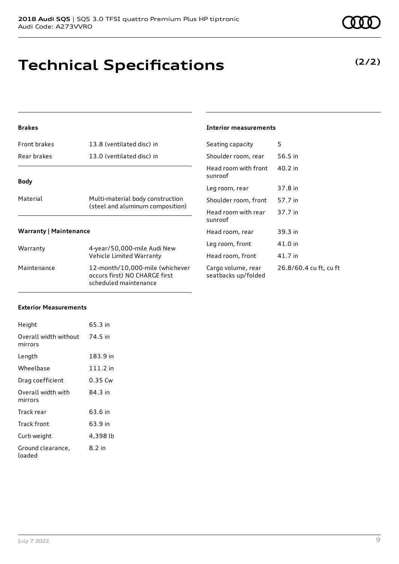### **Technical Specifications**

### **Brakes**

| <b>Front brakes</b>           | 13.8 (ventilated disc) in                                            |  |
|-------------------------------|----------------------------------------------------------------------|--|
| Rear brakes                   | 13.0 (ventilated disc) in                                            |  |
| <b>Body</b>                   |                                                                      |  |
|                               |                                                                      |  |
| Material                      | Multi-material body construction<br>(steel and aluminum composition) |  |
| <b>Warranty   Maintenance</b> |                                                                      |  |
|                               |                                                                      |  |
| Warranty                      | 4-year/50,000-mile Audi New<br>Vehicle Limited Warranty              |  |
|                               |                                                                      |  |

Maintenance 12-month/10,000-mile (whichever occurs first) NO CHARGE first scheduled maintenance

#### **Interior measurements**

| Seating capacity                          | 5                      |
|-------------------------------------------|------------------------|
| Shoulder room, rear                       | 56.5 in                |
| Head room with front<br>sunroof           | 40.2 in                |
| Leg room, rear                            | 37.8 in                |
| Shoulder room, front                      | 57.7 in                |
| Head room with rear<br>sunroof            | 37.7 in                |
| Head room, rear                           | 39.3 in                |
| Leg room, front                           | 41.0 in                |
| Head room, front                          | 41.7 in                |
| Cargo volume, rear<br>seatbacks up/folded | 26.8/60.4 cu ft, cu ft |
|                                           |                        |

#### **Exterior Measurements**

| Height                                   | 65.3 in  |
|------------------------------------------|----------|
| Overall width without 74.5 in<br>mirrors |          |
| Length                                   | 183.9 in |
| Wheelbase                                | 111.2 in |
| Drag coefficient                         | 0.35 Cw  |
| Overall width with<br>mirrors            | 84.3 in  |
| Track rear                               | 63.6 in  |
| Track front                              | 63.9 in  |
| Curb weight                              | 4,398 lb |
| Ground clearance,<br>loaded              | 8.2 in   |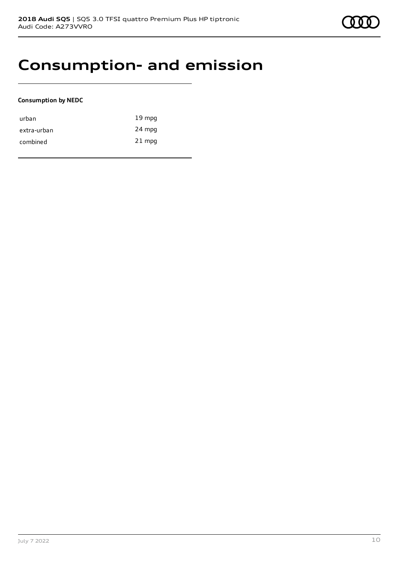### **Consumption- and emission**

### **Consumption by NEDC**

| urban       | $19 \text{ mpg}$ |
|-------------|------------------|
| extra-urban | 24 mpg           |
| combined    | $21$ mpg         |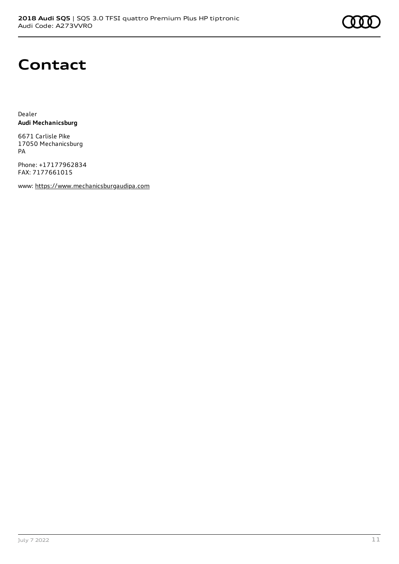

## **Contact**

Dealer **Audi Mechanicsburg**

6671 Carlisle Pike 17050 Mechanicsburg PA

Phone: +17177962834 FAX: 7177661015

www: [https://www.mechanicsburgaudipa.com](https://www.mechanicsburgaudipa.com/)